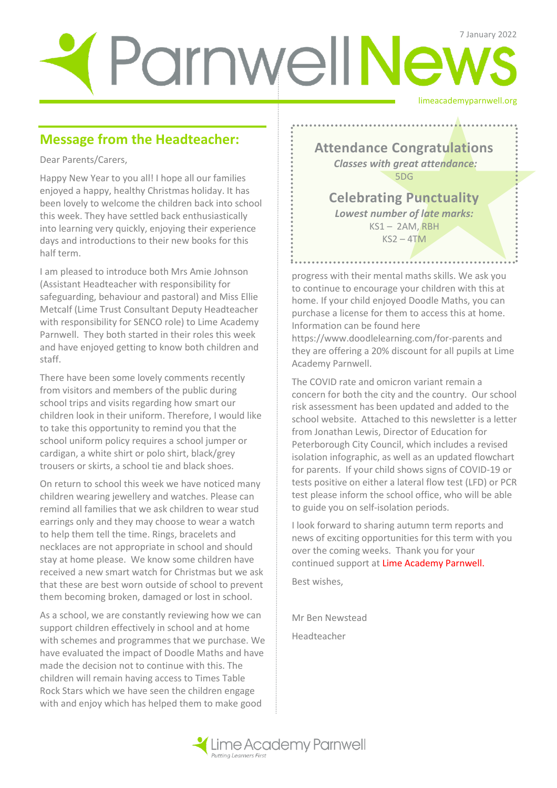# limeacademyparnwell.org ParmwellNews

# **Message from the Headteacher:**

Dear Parents/Carers,

Happy New Year to you all! I hope all our families enjoyed a happy, healthy Christmas holiday. It has been lovely to welcome the children back into school this week. They have settled back enthusiastically into learning very quickly, enjoying their experience days and introductions to their new books for this half term.

I am pleased to introduce both Mrs Amie Johnson (Assistant Headteacher with responsibility for safeguarding, behaviour and pastoral) and Miss Ellie Metcalf (Lime Trust Consultant Deputy Headteacher with responsibility for SENCO role) to Lime Academy Parnwell. They both started in their roles this week and have enjoyed getting to know both children and staff.

There have been some lovely comments recently from visitors and members of the public during school trips and visits regarding how smart our children look in their uniform. Therefore, I would like to take this opportunity to remind you that the school uniform policy requires a school jumper or cardigan, a white shirt or polo shirt, black/grey trousers or skirts, a school tie and black shoes.

On return to school this week we have noticed many children wearing jewellery and watches. Please can remind all families that we ask children to wear stud earrings only and they may choose to wear a watch to help them tell the time. Rings, bracelets and necklaces are not appropriate in school and should stay at home please. We know some children have received a new smart watch for Christmas but we ask that these are best worn outside of school to prevent them becoming broken, damaged or lost in school.

As a school, we are constantly reviewing how we can support children effectively in school and at home with schemes and programmes that we purchase. We have evaluated the impact of Doodle Maths and have made the decision not to continue with this. The children will remain having access to Times Table Rock Stars which we have seen the children engage with and enjoy which has helped them to make good

**Attendance Congratulations** *Classes with great attendance:* 5DG

**Celebrating Punctuality**  *Lowest number of late marks:*  KS1 – 2AM, RBH  $KS2 - 4TM$ 

progress with their mental maths skills. We ask you to continue to encourage your children with this at home. If your child enjoyed Doodle Maths, you can purchase a license for them to access this at home. Information can be found here

. . . . . . . . . . . . . . . . . . . .

https://www.doodlelearning.com/for-parents and they are offering a 20% discount for all pupils at Lime Academy Parnwell.

The COVID rate and omicron variant remain a concern for both the city and the country. Our school risk assessment has been updated and added to the school website. Attached to this newsletter is a letter from Jonathan Lewis, Director of Education for Peterborough City Council, which includes a revised isolation infographic, as well as an updated flowchart for parents. If your child shows signs of COVID-19 or tests positive on either a lateral flow test (LFD) or PCR test please inform the school office, who will be able to guide you on self-isolation periods.

I look forward to sharing autumn term reports and news of exciting opportunities for this term with you over the coming weeks. Thank you for your continued support at Lime Academy Parnwell.

Best wishes,

Mr Ben Newstead Headteacher

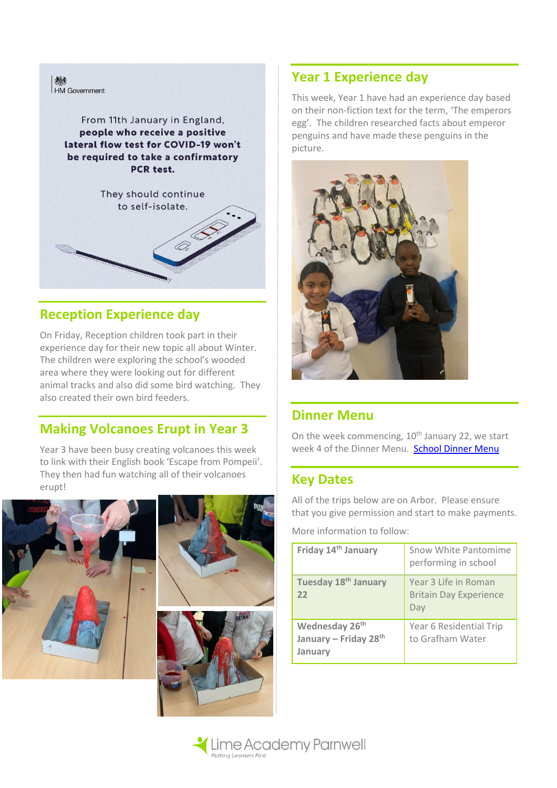

## **Reception Experience day**

On Friday, Reception children took part in their experience day for their new topic all about Winter. The children were exploring the school's wooded area where they were looking out for different animal tracks and also did some bird watching. They also created their own bird feeders.

## **Making Volcanoes Erupt in Year 3**

Year 3 have been busy creating volcanoes this week to link with their English book 'Escape from Pompeii'. They then had fun watching all of their volcanoes erupt!





# **Year 1 Experience day**

This week, Year 1 have had an experience day based on their non-fiction text for the term, 'The emperors egg'. The children researched facts about emperor penguins and have made these penguins in the picture.



### **Dinner Menu**

On the week commencing,  $10<sup>th</sup>$  January 22, we start week 4 of the Dinner Menu. [School Dinner Menu](http://limeacademyparnwell.org/media/3932/dinner-menu-2020-09-18.pdf)

## **Key Dates**

All of the trips below are on Arbor. Please ensure that you give permission and start to make payments.

More information to follow:

| Friday 14 <sup>th</sup> January                                | Snow White Pantomime<br>performing in school                 |
|----------------------------------------------------------------|--------------------------------------------------------------|
| Tuesday 18 <sup>th</sup> January<br>22                         | Year 3 Life in Roman<br><b>Britain Day Experience</b><br>Day |
| Wednesday 26 <sup>th</sup><br>January - Friday 28th<br>January | Year 6 Residential Trip<br>to Grafham Water                  |